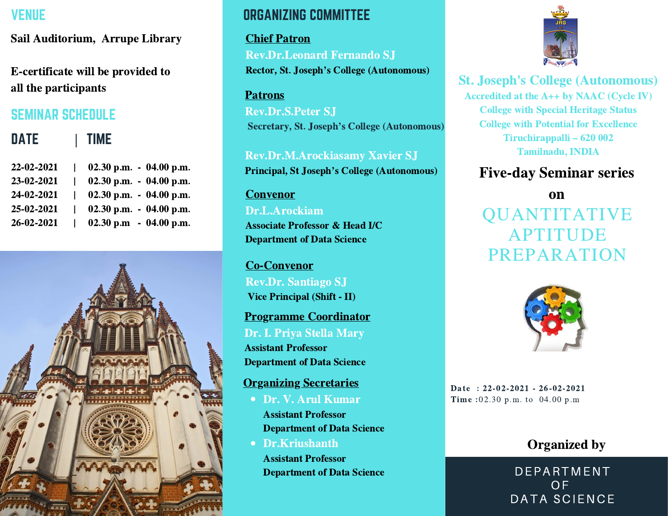# VENUE

Sail Auditorium, Arrupe Library

E-certificate will be provided to all the participants

# SEMINAR SCHEDULE

| <b>DATE</b> | TIME                      |
|-------------|---------------------------|
| 22-02-2021  | 02.30 p.m. $-$ 04.00 p.m. |
| 23-02-2021  | 02.30 p.m. $-$ 04.00 p.m. |
| 24-02-2021  | 02.30 p.m. $-$ 04.00 p.m. |
| 25-02-2021  | 02.30 p.m. $-$ 04.00 p.m. |
| 26-02-2021  | 02.30 p.m $-$ 04.00 p.m.  |
|             |                           |



# ORGANIZING COMMITTEE

Chief Patron Rev.Dr.Leonard Fernando SJ Rector, St. Joseph's College (Autonomous)

#### Patrons

Rev.Dr.S.Peter SJ Secretary, St. Joseph's College (Autonomous)

Rev.Dr.M.Arockiasamy Xavier SJ Principal, St Joseph's College (Autonomous)

## Convenor Dr.L.Arockiam Associate Professor & Head I/C Department of Data Science

Co-Convenor Rev.Dr. Santiago SJ Vice Principal (Shift - II)

Programme Coordinator Dr. I. Priya Stella Mary

Assistant Professor Department of Data Science

#### Organizing Secretaries

- Dr. V. Arul Kumar Assistant Professor Department of Data Science
- Dr.Kriushanth Assistant Professor Department of Data Science



## St. Joseph's College (Autonomous)

Accredited at the A++ by NAAC (Cycle IV) College with Special Heritage Status College with Potential for Excellence Tiruchirappalli – <sup>620</sup> <sup>002</sup> Tamilnadu, INDIA

# Five-day Seminar series

QUANTITATIVE APTITUDE PREPARATION on



Date : 22-02-2021 - 26-02-2021 Time :02.30 p.m. to 04.00 p.m

# Organized by

DEPARTMENT **OF** DATA SCIENCE